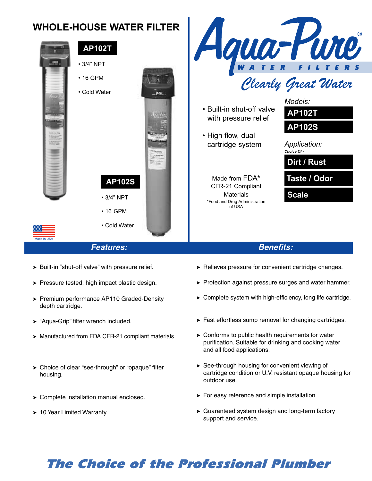#### qua-Pure **WHOLE-HOUSE WATER FILTER AP102T** • 3/4" NPT • 16 GPM Clearly Great Water • Cold Water in. *Models:* • Built-in shut-off valve **AP102T** with pressure relief **AP102S** • High flow, dual cartridge system *Application: Choice Of -* **Dirt / Rust** Made from FDA**\* Taste / Odor AP102S** CFR-21 Compliant Materials **Scale** • 3/4" NPT \*Food and Drug Administration of USA • 16 GPM

## **Features:**

• Cold Water

- > Built-in "shut-off valve" with pressure relief.
- ▶ Pressure tested, high impact plastic design.
- ▶ Premium performance AP110 Graded-Density depth cartridge.
- > "Aqua-Grip" filter wrench included.

Made in USA

- > Manufactured from FDA CFR-21 compliant materials.
- > Choice of clear "see-through" or "opaque" filter housing.
- > Complete installation manual enclosed.
- ▶ 10 Year Limited Warranty.
- > Relieves pressure for convenient cartridge changes.
- > Protection against pressure surges and water hammer.

**Benefits:** 

- > Complete system with high-efficiency, long life cartridge.
- > Fast effortless sump removal for changing cartridges.
- ▶ Conforms to public health requirements for water purification. Suitable for drinking and cooking water and all food applications.
- > See-through housing for convenient viewing of cartridge condition or U.V. resistant opaque housing for outdoor use.
- > For easy reference and simple installation.
- > Guaranteed system design and long-term factory support and service.

# **The Choice of the Professional Plumber**